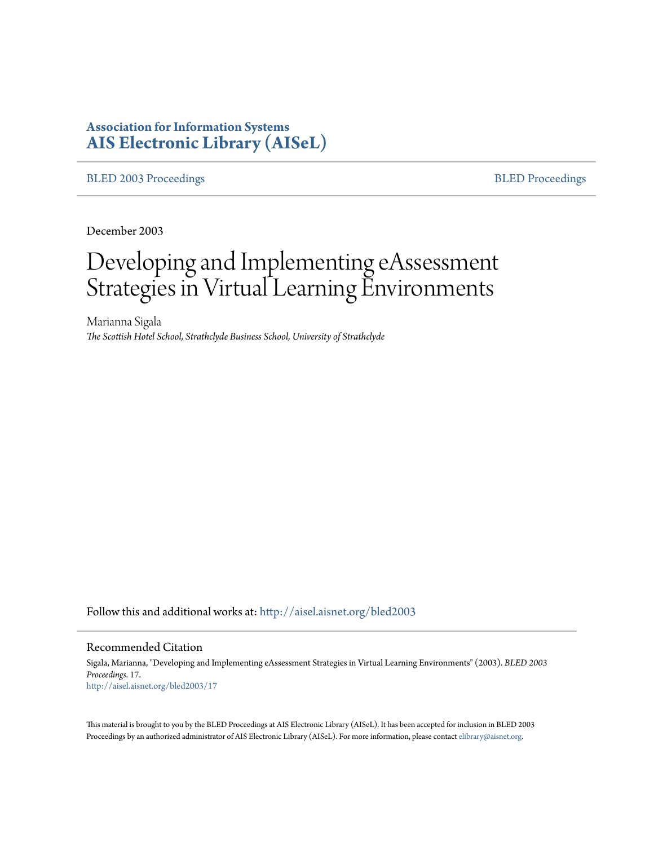# **Association for Information Systems [AIS Electronic Library \(AISeL\)](http://aisel.aisnet.org?utm_source=aisel.aisnet.org%2Fbled2003%2F17&utm_medium=PDF&utm_campaign=PDFCoverPages)**

#### [BLED 2003 Proceedings](http://aisel.aisnet.org/bled2003?utm_source=aisel.aisnet.org%2Fbled2003%2F17&utm_medium=PDF&utm_campaign=PDFCoverPages) **[BLED Proceedings](http://aisel.aisnet.org/bled?utm_source=aisel.aisnet.org%2Fbled2003%2F17&utm_medium=PDF&utm_campaign=PDFCoverPages)**

December 2003

# Developing and Implementing eAssessment Strategies in Virtual Learning Environments

Marianna Sigala *The Scottish Hotel School, Strathclyde Business School, University of Strathclyde*

Follow this and additional works at: [http://aisel.aisnet.org/bled2003](http://aisel.aisnet.org/bled2003?utm_source=aisel.aisnet.org%2Fbled2003%2F17&utm_medium=PDF&utm_campaign=PDFCoverPages)

#### Recommended Citation

Sigala, Marianna, "Developing and Implementing eAssessment Strategies in Virtual Learning Environments" (2003). *BLED 2003 Proceedings*. 17. [http://aisel.aisnet.org/bled2003/17](http://aisel.aisnet.org/bled2003/17?utm_source=aisel.aisnet.org%2Fbled2003%2F17&utm_medium=PDF&utm_campaign=PDFCoverPages)

This material is brought to you by the BLED Proceedings at AIS Electronic Library (AISeL). It has been accepted for inclusion in BLED 2003 Proceedings by an authorized administrator of AIS Electronic Library (AISeL). For more information, please contact [elibrary@aisnet.org](mailto:elibrary@aisnet.org%3E).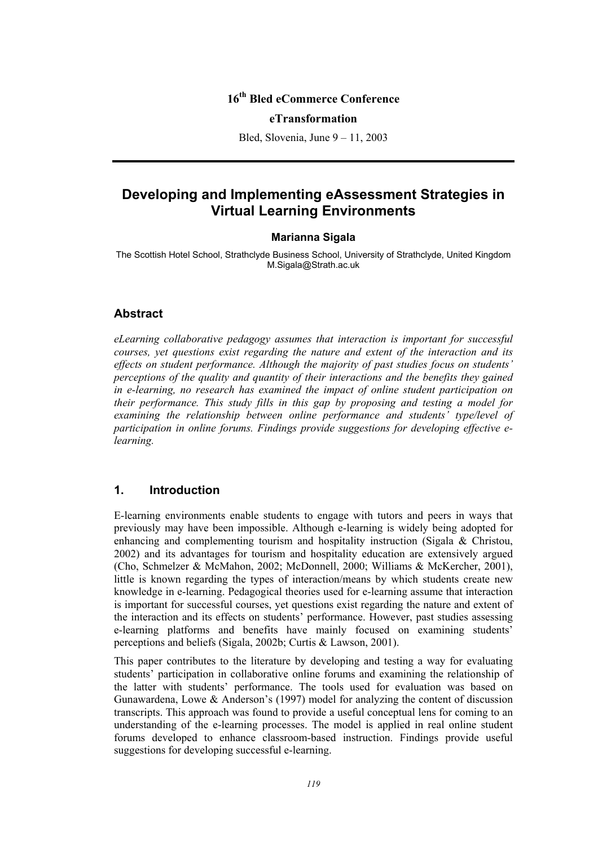## **16th Bled eCommerce Conference**

#### **eTransformation**

Bled, Slovenia, June 9 – 11, 2003

## **Developing and Implementing eAssessment Strategies in Virtual Learning Environments**

#### **Marianna Sigala**

The Scottish Hotel School, Strathclyde Business School, University of Strathclyde, United Kingdom M.Sigala@Strath.ac.uk

#### **Abstract**

*eLearning collaborative pedagogy assumes that interaction is important for successful courses, yet questions exist regarding the nature and extent of the interaction and its effects on student performance. Although the majority of past studies focus on students' perceptions of the quality and quantity of their interactions and the benefits they gained in e-learning, no research has examined the impact of online student participation on their performance. This study fills in this gap by proposing and testing a model for examining the relationship between online performance and students' type/level of participation in online forums. Findings provide suggestions for developing effective elearning.* 

## **1. Introduction**

E-learning environments enable students to engage with tutors and peers in ways that previously may have been impossible. Although e-learning is widely being adopted for enhancing and complementing tourism and hospitality instruction (Sigala & Christou, 2002) and its advantages for tourism and hospitality education are extensively argued (Cho, Schmelzer & McMahon, 2002; McDonnell, 2000; Williams & McKercher, 2001), little is known regarding the types of interaction/means by which students create new knowledge in e-learning. Pedagogical theories used for e-learning assume that interaction is important for successful courses, yet questions exist regarding the nature and extent of the interaction and its effects on students' performance. However, past studies assessing e-learning platforms and benefits have mainly focused on examining students' perceptions and beliefs (Sigala, 2002b; Curtis & Lawson, 2001).

This paper contributes to the literature by developing and testing a way for evaluating students' participation in collaborative online forums and examining the relationship of the latter with students' performance. The tools used for evaluation was based on Gunawardena, Lowe & Anderson's (1997) model for analyzing the content of discussion transcripts. This approach was found to provide a useful conceptual lens for coming to an understanding of the e-learning processes. The model is applied in real online student forums developed to enhance classroom-based instruction. Findings provide useful suggestions for developing successful e-learning.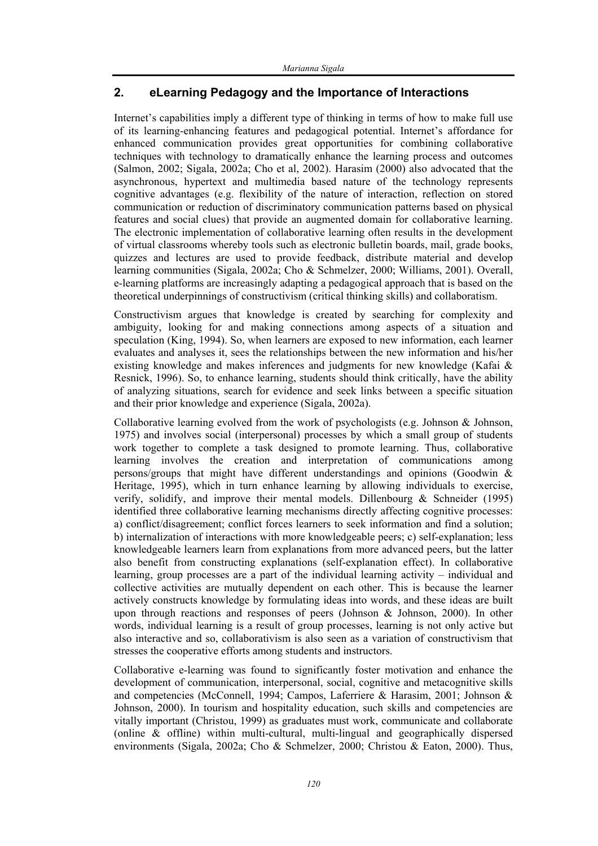## **2. eLearning Pedagogy and the Importance of Interactions**

Internet's capabilities imply a different type of thinking in terms of how to make full use of its learning-enhancing features and pedagogical potential. Internet's affordance for enhanced communication provides great opportunities for combining collaborative techniques with technology to dramatically enhance the learning process and outcomes (Salmon, 2002; Sigala, 2002a; Cho et al, 2002). Harasim (2000) also advocated that the asynchronous, hypertext and multimedia based nature of the technology represents cognitive advantages (e.g. flexibility of the nature of interaction, reflection on stored communication or reduction of discriminatory communication patterns based on physical features and social clues) that provide an augmented domain for collaborative learning. The electronic implementation of collaborative learning often results in the development of virtual classrooms whereby tools such as electronic bulletin boards, mail, grade books, quizzes and lectures are used to provide feedback, distribute material and develop learning communities (Sigala, 2002a; Cho & Schmelzer, 2000; Williams, 2001). Overall, e-learning platforms are increasingly adapting a pedagogical approach that is based on the theoretical underpinnings of constructivism (critical thinking skills) and collaboratism.

Constructivism argues that knowledge is created by searching for complexity and ambiguity, looking for and making connections among aspects of a situation and speculation (King, 1994). So, when learners are exposed to new information, each learner evaluates and analyses it, sees the relationships between the new information and his/her existing knowledge and makes inferences and judgments for new knowledge (Kafai  $\&$ Resnick, 1996). So, to enhance learning, students should think critically, have the ability of analyzing situations, search for evidence and seek links between a specific situation and their prior knowledge and experience (Sigala, 2002a).

Collaborative learning evolved from the work of psychologists (e.g. Johnson  $\&$  Johnson, 1975) and involves social (interpersonal) processes by which a small group of students work together to complete a task designed to promote learning. Thus, collaborative learning involves the creation and interpretation of communications among persons/groups that might have different understandings and opinions (Goodwin & Heritage, 1995), which in turn enhance learning by allowing individuals to exercise, verify, solidify, and improve their mental models. Dillenbourg & Schneider (1995) identified three collaborative learning mechanisms directly affecting cognitive processes: a) conflict/disagreement; conflict forces learners to seek information and find a solution; b) internalization of interactions with more knowledgeable peers; c) self-explanation; less knowledgeable learners learn from explanations from more advanced peers, but the latter also benefit from constructing explanations (self-explanation effect). In collaborative learning, group processes are a part of the individual learning activity – individual and collective activities are mutually dependent on each other. This is because the learner actively constructs knowledge by formulating ideas into words, and these ideas are built upon through reactions and responses of peers (Johnson  $\&$  Johnson, 2000). In other words, individual learning is a result of group processes, learning is not only active but also interactive and so, collaborativism is also seen as a variation of constructivism that stresses the cooperative efforts among students and instructors.

Collaborative e-learning was found to significantly foster motivation and enhance the development of communication, interpersonal, social, cognitive and metacognitive skills and competencies (McConnell, 1994; Campos, Laferriere & Harasim, 2001; Johnson & Johnson, 2000). In tourism and hospitality education, such skills and competencies are vitally important (Christou, 1999) as graduates must work, communicate and collaborate (online & offline) within multi-cultural, multi-lingual and geographically dispersed environments (Sigala, 2002a; Cho & Schmelzer, 2000; Christou & Eaton, 2000). Thus,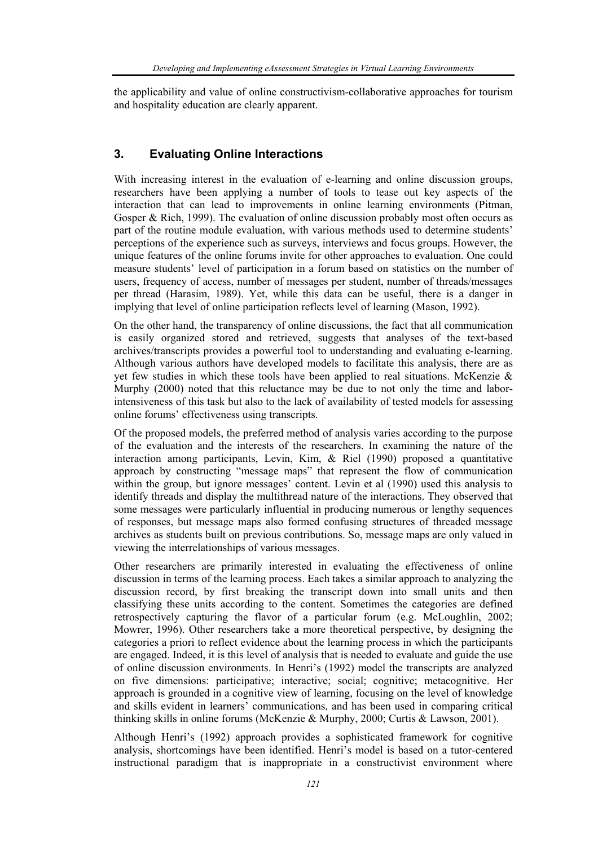the applicability and value of online constructivism-collaborative approaches for tourism and hospitality education are clearly apparent.

## **3. Evaluating Online Interactions**

With increasing interest in the evaluation of e-learning and online discussion groups, researchers have been applying a number of tools to tease out key aspects of the interaction that can lead to improvements in online learning environments (Pitman, Gosper & Rich, 1999). The evaluation of online discussion probably most often occurs as part of the routine module evaluation, with various methods used to determine students' perceptions of the experience such as surveys, interviews and focus groups. However, the unique features of the online forums invite for other approaches to evaluation. One could measure students' level of participation in a forum based on statistics on the number of users, frequency of access, number of messages per student, number of threads/messages per thread (Harasim, 1989). Yet, while this data can be useful, there is a danger in implying that level of online participation reflects level of learning (Mason, 1992).

On the other hand, the transparency of online discussions, the fact that all communication is easily organized stored and retrieved, suggests that analyses of the text-based archives/transcripts provides a powerful tool to understanding and evaluating e-learning. Although various authors have developed models to facilitate this analysis, there are as yet few studies in which these tools have been applied to real situations. McKenzie & Murphy (2000) noted that this reluctance may be due to not only the time and laborintensiveness of this task but also to the lack of availability of tested models for assessing online forums' effectiveness using transcripts.

Of the proposed models, the preferred method of analysis varies according to the purpose of the evaluation and the interests of the researchers. In examining the nature of the interaction among participants, Levin, Kim, & Riel (1990) proposed a quantitative approach by constructing "message maps" that represent the flow of communication within the group, but ignore messages' content. Levin et al (1990) used this analysis to identify threads and display the multithread nature of the interactions. They observed that some messages were particularly influential in producing numerous or lengthy sequences of responses, but message maps also formed confusing structures of threaded message archives as students built on previous contributions. So, message maps are only valued in viewing the interrelationships of various messages.

Other researchers are primarily interested in evaluating the effectiveness of online discussion in terms of the learning process. Each takes a similar approach to analyzing the discussion record, by first breaking the transcript down into small units and then classifying these units according to the content. Sometimes the categories are defined retrospectively capturing the flavor of a particular forum (e.g. McLoughlin, 2002; Mowrer, 1996). Other researchers take a more theoretical perspective, by designing the categories a priori to reflect evidence about the learning process in which the participants are engaged. Indeed, it is this level of analysis that is needed to evaluate and guide the use of online discussion environments. In Henri's (1992) model the transcripts are analyzed on five dimensions: participative; interactive; social; cognitive; metacognitive. Her approach is grounded in a cognitive view of learning, focusing on the level of knowledge and skills evident in learners' communications, and has been used in comparing critical thinking skills in online forums (McKenzie & Murphy, 2000; Curtis & Lawson, 2001).

Although Henri's (1992) approach provides a sophisticated framework for cognitive analysis, shortcomings have been identified. Henri's model is based on a tutor-centered instructional paradigm that is inappropriate in a constructivist environment where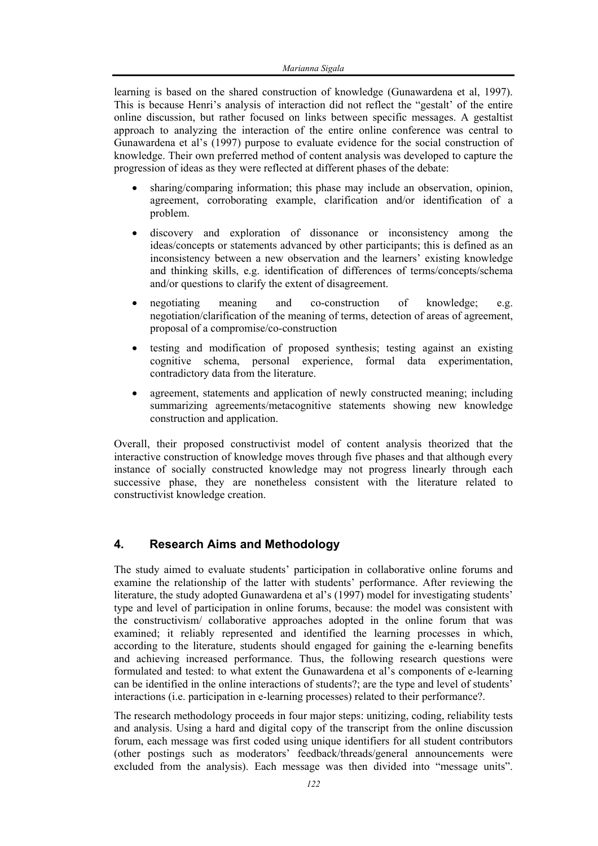learning is based on the shared construction of knowledge (Gunawardena et al, 1997). This is because Henri's analysis of interaction did not reflect the "gestalt' of the entire online discussion, but rather focused on links between specific messages. A gestaltist approach to analyzing the interaction of the entire online conference was central to Gunawardena et al's (1997) purpose to evaluate evidence for the social construction of knowledge. Their own preferred method of content analysis was developed to capture the progression of ideas as they were reflected at different phases of the debate:

- sharing/comparing information; this phase may include an observation, opinion, agreement, corroborating example, clarification and/or identification of a problem.
- discovery and exploration of dissonance or inconsistency among the ideas/concepts or statements advanced by other participants; this is defined as an inconsistency between a new observation and the learners' existing knowledge and thinking skills, e.g. identification of differences of terms/concepts/schema and/or questions to clarify the extent of disagreement.
- negotiating meaning and co-construction of knowledge; e.g. negotiation/clarification of the meaning of terms, detection of areas of agreement, proposal of a compromise/co-construction
- testing and modification of proposed synthesis; testing against an existing cognitive schema, personal experience, formal data experimentation, contradictory data from the literature.
- agreement, statements and application of newly constructed meaning; including summarizing agreements/metacognitive statements showing new knowledge construction and application.

Overall, their proposed constructivist model of content analysis theorized that the interactive construction of knowledge moves through five phases and that although every instance of socially constructed knowledge may not progress linearly through each successive phase, they are nonetheless consistent with the literature related to constructivist knowledge creation.

## **4. Research Aims and Methodology**

The study aimed to evaluate students' participation in collaborative online forums and examine the relationship of the latter with students' performance. After reviewing the literature, the study adopted Gunawardena et al's (1997) model for investigating students' type and level of participation in online forums, because: the model was consistent with the constructivism/ collaborative approaches adopted in the online forum that was examined; it reliably represented and identified the learning processes in which, according to the literature, students should engaged for gaining the e-learning benefits and achieving increased performance. Thus, the following research questions were formulated and tested: to what extent the Gunawardena et al's components of e-learning can be identified in the online interactions of students?; are the type and level of students' interactions (i.e. participation in e-learning processes) related to their performance?.

The research methodology proceeds in four major steps: unitizing, coding, reliability tests and analysis. Using a hard and digital copy of the transcript from the online discussion forum, each message was first coded using unique identifiers for all student contributors (other postings such as moderators' feedback/threads/general announcements were excluded from the analysis). Each message was then divided into "message units".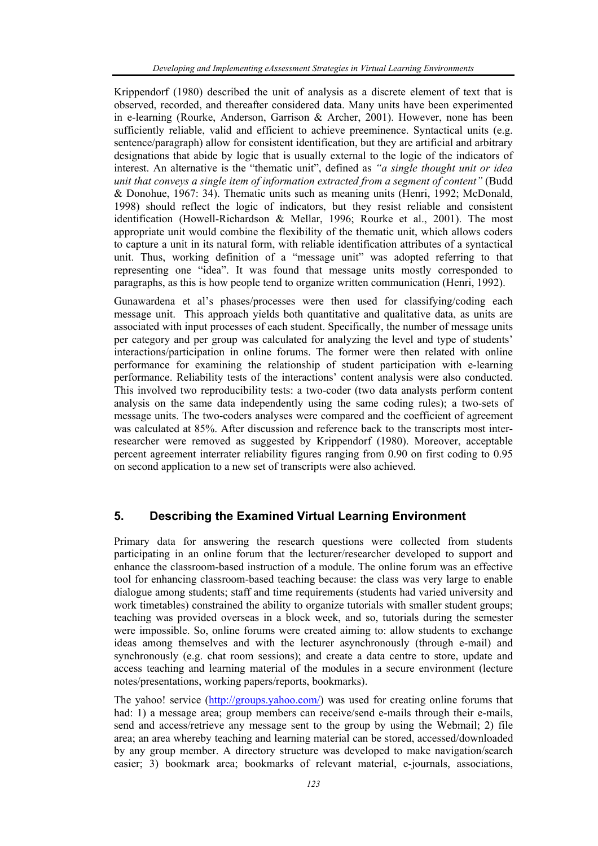Krippendorf (1980) described the unit of analysis as a discrete element of text that is observed, recorded, and thereafter considered data. Many units have been experimented in e-learning (Rourke, Anderson, Garrison & Archer, 2001). However, none has been sufficiently reliable, valid and efficient to achieve preeminence. Syntactical units (e.g. sentence/paragraph) allow for consistent identification, but they are artificial and arbitrary designations that abide by logic that is usually external to the logic of the indicators of interest. An alternative is the "thematic unit", defined as *"a single thought unit or idea unit that conveys a single item of information extracted from a segment of content"* (Budd & Donohue, 1967: 34). Thematic units such as meaning units (Henri, 1992; McDonald, 1998) should reflect the logic of indicators, but they resist reliable and consistent identification (Howell-Richardson & Mellar, 1996; Rourke et al., 2001). The most appropriate unit would combine the flexibility of the thematic unit, which allows coders to capture a unit in its natural form, with reliable identification attributes of a syntactical unit. Thus, working definition of a "message unit" was adopted referring to that representing one "idea". It was found that message units mostly corresponded to paragraphs, as this is how people tend to organize written communication (Henri, 1992).

Gunawardena et al's phases/processes were then used for classifying/coding each message unit. This approach yields both quantitative and qualitative data, as units are associated with input processes of each student. Specifically, the number of message units per category and per group was calculated for analyzing the level and type of students' interactions/participation in online forums. The former were then related with online performance for examining the relationship of student participation with e-learning performance. Reliability tests of the interactions' content analysis were also conducted. This involved two reproducibility tests: a two-coder (two data analysts perform content analysis on the same data independently using the same coding rules); a two-sets of message units. The two-coders analyses were compared and the coefficient of agreement was calculated at 85%. After discussion and reference back to the transcripts most interresearcher were removed as suggested by Krippendorf (1980). Moreover, acceptable percent agreement interrater reliability figures ranging from 0.90 on first coding to 0.95 on second application to a new set of transcripts were also achieved.

## **5. Describing the Examined Virtual Learning Environment**

Primary data for answering the research questions were collected from students participating in an online forum that the lecturer/researcher developed to support and enhance the classroom-based instruction of a module. The online forum was an effective tool for enhancing classroom-based teaching because: the class was very large to enable dialogue among students; staff and time requirements (students had varied university and work timetables) constrained the ability to organize tutorials with smaller student groups; teaching was provided overseas in a block week, and so, tutorials during the semester were impossible. So, online forums were created aiming to: allow students to exchange ideas among themselves and with the lecturer asynchronously (through e-mail) and synchronously (e.g. chat room sessions); and create a data centre to store, update and access teaching and learning material of the modules in a secure environment (lecture notes/presentations, working papers/reports, bookmarks).

The yahoo! service (http://groups.yahoo.com/) was used for creating online forums that had: 1) a message area; group members can receive/send e-mails through their e-mails, send and access/retrieve any message sent to the group by using the Webmail; 2) file area; an area whereby teaching and learning material can be stored, accessed/downloaded by any group member. A directory structure was developed to make navigation/search easier; 3) bookmark area; bookmarks of relevant material, e-journals, associations,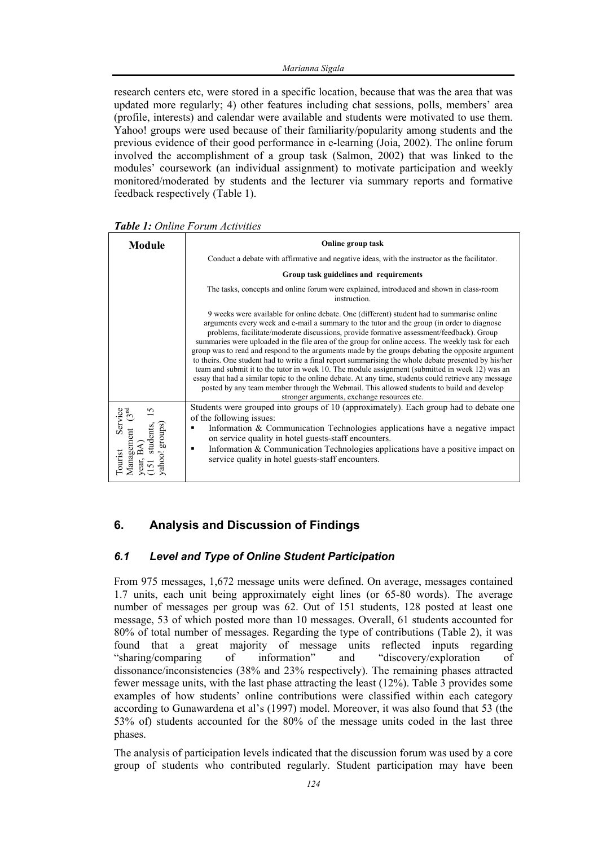research centers etc, were stored in a specific location, because that was the area that was updated more regularly; 4) other features including chat sessions, polls, members' area (profile, interests) and calendar were available and students were motivated to use them. Yahoo! groups were used because of their familiarity/popularity among students and the previous evidence of their good performance in e-learning (Joia, 2002). The online forum involved the accomplishment of a group task (Salmon, 2002) that was linked to the modules' coursework (an individual assignment) to motivate participation and weekly monitored/moderated by students and the lecturer via summary reports and formative feedback respectively (Table 1).

| Module                                                                                         | Online group task                                                                                                                                                                                                                                                                                                                                                                                                                                                                                                                                                                                                                                                                                                                                                                                                                                                                                                                                            |  |  |  |
|------------------------------------------------------------------------------------------------|--------------------------------------------------------------------------------------------------------------------------------------------------------------------------------------------------------------------------------------------------------------------------------------------------------------------------------------------------------------------------------------------------------------------------------------------------------------------------------------------------------------------------------------------------------------------------------------------------------------------------------------------------------------------------------------------------------------------------------------------------------------------------------------------------------------------------------------------------------------------------------------------------------------------------------------------------------------|--|--|--|
|                                                                                                | Conduct a debate with affirmative and negative ideas, with the instructor as the facilitator.                                                                                                                                                                                                                                                                                                                                                                                                                                                                                                                                                                                                                                                                                                                                                                                                                                                                |  |  |  |
|                                                                                                | Group task guidelines and requirements                                                                                                                                                                                                                                                                                                                                                                                                                                                                                                                                                                                                                                                                                                                                                                                                                                                                                                                       |  |  |  |
|                                                                                                | The tasks, concepts and online forum were explained, introduced and shown in class-room<br>instruction.                                                                                                                                                                                                                                                                                                                                                                                                                                                                                                                                                                                                                                                                                                                                                                                                                                                      |  |  |  |
|                                                                                                | 9 weeks were available for online debate. One (different) student had to summarise online<br>arguments every week and e-mail a summary to the tutor and the group (in order to diagnose<br>problems, facilitate/moderate discussions, provide formative assessment/feedback). Group<br>summaries were uploaded in the file area of the group for online access. The weekly task for each<br>group was to read and respond to the arguments made by the groups debating the opposite argument<br>to theirs. One student had to write a final report summarising the whole debate presented by his/her<br>team and submit it to the tutor in week 10. The module assignment (submitted in week 12) was an<br>essay that had a similar topic to the online debate. At any time, students could retrieve any message<br>posted by any team member through the Webmail. This allowed students to build and develop<br>stronger arguments, exchange resources etc. |  |  |  |
| Service<br>nt (3 <sup>nd</sup><br>S<br>students,<br>groups)<br>Management<br>l'ourist<br>ahoo! | Students were grouped into groups of 10 (approximately). Each group had to debate one<br>of the following issues:<br>Information & Communication Technologies applications have a negative impact<br>٠<br>on service quality in hotel guests-staff encounters.<br>Information & Communication Technologies applications have a positive impact on<br>٠<br>service quality in hotel guests-staff encounters.                                                                                                                                                                                                                                                                                                                                                                                                                                                                                                                                                  |  |  |  |

## **6. Analysis and Discussion of Findings**

## *6.1 Level and Type of Online Student Participation*

From 975 messages, 1,672 message units were defined. On average, messages contained 1.7 units, each unit being approximately eight lines (or 65-80 words). The average number of messages per group was 62. Out of 151 students, 128 posted at least one message, 53 of which posted more than 10 messages. Overall, 61 students accounted for 80% of total number of messages. Regarding the type of contributions (Table 2), it was found that a great majority of message units reflected inputs regarding "sharing/comparing of information" and "discovery/exploration of dissonance/inconsistencies (38% and 23% respectively). The remaining phases attracted fewer message units, with the last phase attracting the least (12%). Table 3 provides some examples of how students' online contributions were classified within each category according to Gunawardena et al's (1997) model. Moreover, it was also found that 53 (the 53% of) students accounted for the 80% of the message units coded in the last three phases.

The analysis of participation levels indicated that the discussion forum was used by a core group of students who contributed regularly. Student participation may have been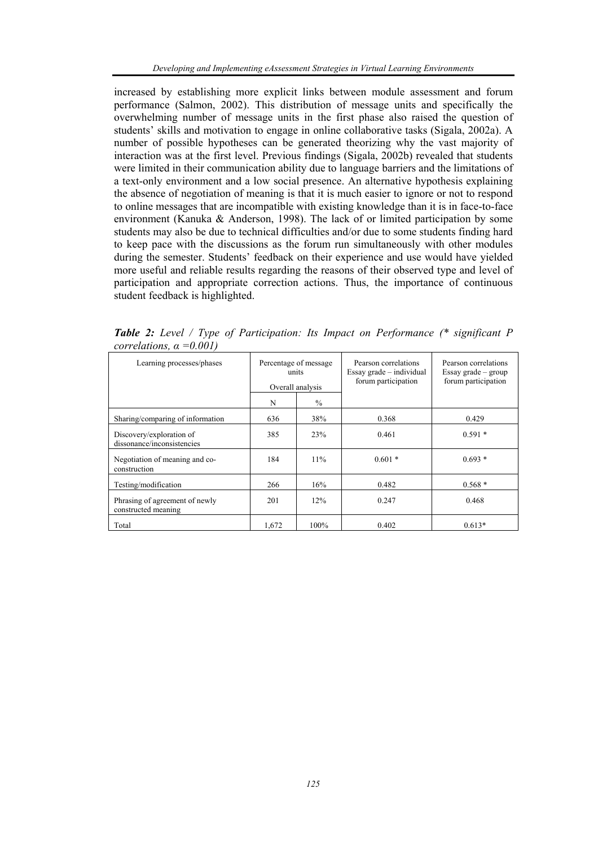increased by establishing more explicit links between module assessment and forum performance (Salmon, 2002). This distribution of message units and specifically the overwhelming number of message units in the first phase also raised the question of students' skills and motivation to engage in online collaborative tasks (Sigala, 2002a). A number of possible hypotheses can be generated theorizing why the vast majority of interaction was at the first level. Previous findings (Sigala, 2002b) revealed that students were limited in their communication ability due to language barriers and the limitations of a text-only environment and a low social presence. An alternative hypothesis explaining the absence of negotiation of meaning is that it is much easier to ignore or not to respond to online messages that are incompatible with existing knowledge than it is in face-to-face environment (Kanuka & Anderson, 1998). The lack of or limited participation by some students may also be due to technical difficulties and/or due to some students finding hard to keep pace with the discussions as the forum run simultaneously with other modules during the semester. Students' feedback on their experience and use would have yielded more useful and reliable results regarding the reasons of their observed type and level of participation and appropriate correction actions. Thus, the importance of continuous student feedback is highlighted.

| con chancono, a<br>$v\cdot v v$                        |                                                    |               |                                                                              |                                                                      |
|--------------------------------------------------------|----------------------------------------------------|---------------|------------------------------------------------------------------------------|----------------------------------------------------------------------|
| Learning processes/phases                              | Percentage of message<br>units<br>Overall analysis |               | Pearson correlations<br>$Essay\,\,grade - individual$<br>forum participation | Pearson correlations<br>Essay grade $-$ group<br>forum participation |
|                                                        | N                                                  | $\frac{0}{0}$ |                                                                              |                                                                      |
| Sharing/comparing of information                       | 636                                                | 38%           | 0.368                                                                        | 0.429                                                                |
| Discovery/exploration of<br>dissonance/inconsistencies | 385                                                | 23%           | 0.461                                                                        | $0.591*$                                                             |
| Negotiation of meaning and co-<br>construction         | 184                                                | 11%           | $0.601*$                                                                     | $0.693*$                                                             |
| Testing/modification                                   | 266                                                | 16%           | 0.482                                                                        | $0.568*$                                                             |
| Phrasing of agreement of newly<br>constructed meaning  | 201                                                | 12%           | 0.247                                                                        | 0.468                                                                |
| Total                                                  | 1,672                                              | 100%          | 0.402                                                                        | $0.613*$                                                             |

*Table 2: Level / Type of Participation: Its Impact on Performance (\* significant P correlations, α =0.001)*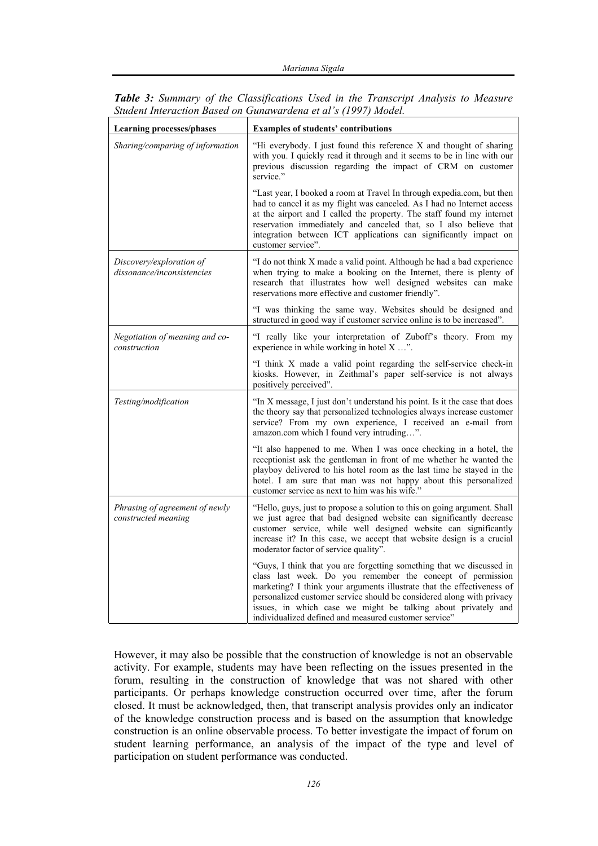| <b>Learning processes/phases</b>                       | <b>Examples of students' contributions</b>                                                                                                                                                                                                                                                                                                                                                                       |  |  |  |
|--------------------------------------------------------|------------------------------------------------------------------------------------------------------------------------------------------------------------------------------------------------------------------------------------------------------------------------------------------------------------------------------------------------------------------------------------------------------------------|--|--|--|
| Sharing/comparing of information                       | "Hi everybody. I just found this reference X and thought of sharing<br>with you. I quickly read it through and it seems to be in line with our<br>previous discussion regarding the impact of CRM on customer<br>service."                                                                                                                                                                                       |  |  |  |
|                                                        | "Last year, I booked a room at Travel In through expedia.com, but then<br>had to cancel it as my flight was canceled. As I had no Internet access<br>at the airport and I called the property. The staff found my internet<br>reservation immediately and canceled that, so I also believe that<br>integration between ICT applications can significantly impact on<br>customer service".                        |  |  |  |
| Discovery/exploration of<br>dissonance/inconsistencies | "I do not think X made a valid point. Although he had a bad experience<br>when trying to make a booking on the Internet, there is plenty of<br>research that illustrates how well designed websites can make<br>reservations more effective and customer friendly".                                                                                                                                              |  |  |  |
|                                                        | "I was thinking the same way. Websites should be designed and<br>structured in good way if customer service online is to be increased".                                                                                                                                                                                                                                                                          |  |  |  |
| Negotiation of meaning and co-<br>construction         | "I really like your interpretation of Zuboff's theory. From my<br>experience in while working in hotel X ".                                                                                                                                                                                                                                                                                                      |  |  |  |
|                                                        | "I think X made a valid point regarding the self-service check-in<br>kiosks. However, in Zeithmal's paper self-service is not always<br>positively perceived".                                                                                                                                                                                                                                                   |  |  |  |
| Testing/modification                                   | "In X message, I just don't understand his point. Is it the case that does<br>the theory say that personalized technologies always increase customer<br>service? From my own experience, I received an e-mail from<br>amazon.com which I found very intruding".                                                                                                                                                  |  |  |  |
|                                                        | "It also happened to me. When I was once checking in a hotel, the<br>receptionist ask the gentleman in front of me whether he wanted the<br>playboy delivered to his hotel room as the last time he stayed in the<br>hotel. I am sure that man was not happy about this personalized<br>customer service as next to him was his wife."                                                                           |  |  |  |
| Phrasing of agreement of newly<br>constructed meaning  | "Hello, guys, just to propose a solution to this on going argument. Shall<br>we just agree that bad designed website can significantly decrease<br>customer service, while well designed website can significantly<br>increase it? In this case, we accept that website design is a crucial<br>moderator factor of service quality".                                                                             |  |  |  |
|                                                        | "Guys, I think that you are forgetting something that we discussed in<br>class last week. Do you remember the concept of permission<br>marketing? I think your arguments illustrate that the effectiveness of<br>personalized customer service should be considered along with privacy<br>issues, in which case we might be talking about privately and<br>individualized defined and measured customer service" |  |  |  |

*Table 3: Summary of the Classifications Used in the Transcript Analysis to Measure Student Interaction Based on Gunawardena et al's (1997) Model.* 

However, it may also be possible that the construction of knowledge is not an observable activity. For example, students may have been reflecting on the issues presented in the forum, resulting in the construction of knowledge that was not shared with other participants. Or perhaps knowledge construction occurred over time, after the forum closed. It must be acknowledged, then, that transcript analysis provides only an indicator of the knowledge construction process and is based on the assumption that knowledge construction is an online observable process. To better investigate the impact of forum on student learning performance, an analysis of the impact of the type and level of participation on student performance was conducted.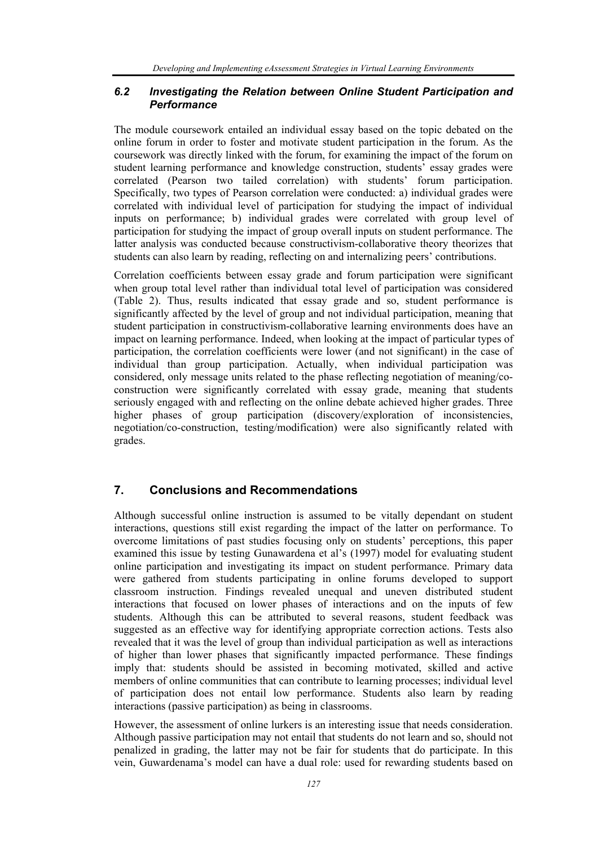#### *6.2 Investigating the Relation between Online Student Participation and Performance*

The module coursework entailed an individual essay based on the topic debated on the online forum in order to foster and motivate student participation in the forum. As the coursework was directly linked with the forum, for examining the impact of the forum on student learning performance and knowledge construction, students' essay grades were correlated (Pearson two tailed correlation) with students' forum participation. Specifically, two types of Pearson correlation were conducted: a) individual grades were correlated with individual level of participation for studying the impact of individual inputs on performance; b) individual grades were correlated with group level of participation for studying the impact of group overall inputs on student performance. The latter analysis was conducted because constructivism-collaborative theory theorizes that students can also learn by reading, reflecting on and internalizing peers' contributions.

Correlation coefficients between essay grade and forum participation were significant when group total level rather than individual total level of participation was considered (Table 2). Thus, results indicated that essay grade and so, student performance is significantly affected by the level of group and not individual participation, meaning that student participation in constructivism-collaborative learning environments does have an impact on learning performance. Indeed, when looking at the impact of particular types of participation, the correlation coefficients were lower (and not significant) in the case of individual than group participation. Actually, when individual participation was considered, only message units related to the phase reflecting negotiation of meaning/coconstruction were significantly correlated with essay grade, meaning that students seriously engaged with and reflecting on the online debate achieved higher grades. Three higher phases of group participation (discovery/exploration of inconsistencies, negotiation/co-construction, testing/modification) were also significantly related with grades.

## **7. Conclusions and Recommendations**

Although successful online instruction is assumed to be vitally dependant on student interactions, questions still exist regarding the impact of the latter on performance. To overcome limitations of past studies focusing only on students' perceptions, this paper examined this issue by testing Gunawardena et al's (1997) model for evaluating student online participation and investigating its impact on student performance. Primary data were gathered from students participating in online forums developed to support classroom instruction. Findings revealed unequal and uneven distributed student interactions that focused on lower phases of interactions and on the inputs of few students. Although this can be attributed to several reasons, student feedback was suggested as an effective way for identifying appropriate correction actions. Tests also revealed that it was the level of group than individual participation as well as interactions of higher than lower phases that significantly impacted performance. These findings imply that: students should be assisted in becoming motivated, skilled and active members of online communities that can contribute to learning processes; individual level of participation does not entail low performance. Students also learn by reading interactions (passive participation) as being in classrooms.

However, the assessment of online lurkers is an interesting issue that needs consideration. Although passive participation may not entail that students do not learn and so, should not penalized in grading, the latter may not be fair for students that do participate. In this vein, Guwardenama's model can have a dual role: used for rewarding students based on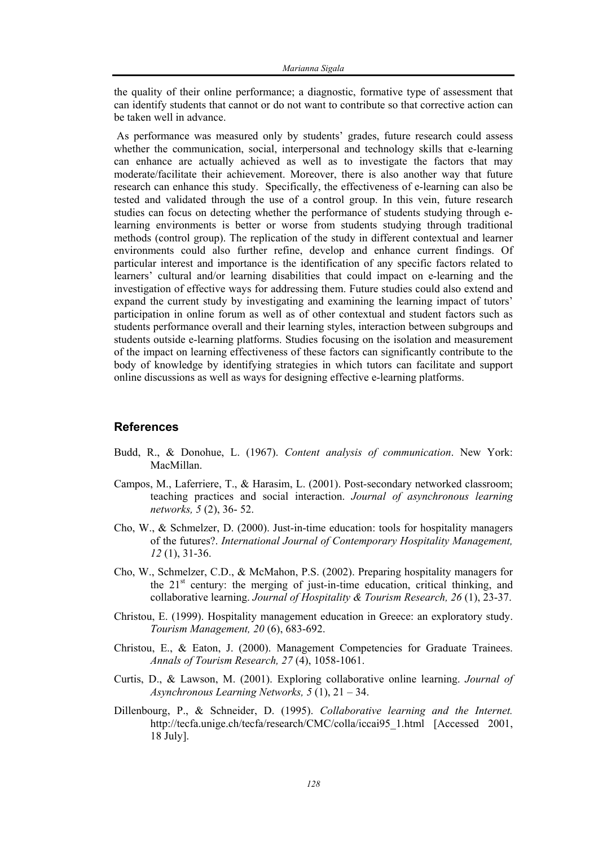the quality of their online performance; a diagnostic, formative type of assessment that can identify students that cannot or do not want to contribute so that corrective action can be taken well in advance.

 As performance was measured only by students' grades, future research could assess whether the communication, social, interpersonal and technology skills that e-learning can enhance are actually achieved as well as to investigate the factors that may moderate/facilitate their achievement. Moreover, there is also another way that future research can enhance this study. Specifically, the effectiveness of e-learning can also be tested and validated through the use of a control group. In this vein, future research studies can focus on detecting whether the performance of students studying through elearning environments is better or worse from students studying through traditional methods (control group). The replication of the study in different contextual and learner environments could also further refine, develop and enhance current findings. Of particular interest and importance is the identification of any specific factors related to learners' cultural and/or learning disabilities that could impact on e-learning and the investigation of effective ways for addressing them. Future studies could also extend and expand the current study by investigating and examining the learning impact of tutors' participation in online forum as well as of other contextual and student factors such as students performance overall and their learning styles, interaction between subgroups and students outside e-learning platforms. Studies focusing on the isolation and measurement of the impact on learning effectiveness of these factors can significantly contribute to the body of knowledge by identifying strategies in which tutors can facilitate and support online discussions as well as ways for designing effective e-learning platforms.

#### **References**

- Budd, R., & Donohue, L. (1967). *Content analysis of communication*. New York: MacMillan.
- Campos, M., Laferriere, T., & Harasim, L. (2001). Post-secondary networked classroom; teaching practices and social interaction. *Journal of asynchronous learning networks, 5* (2), 36- 52.
- Cho, W., & Schmelzer, D. (2000). Just-in-time education: tools for hospitality managers of the futures?. *International Journal of Contemporary Hospitality Management, 12* (1), 31-36.
- Cho, W., Schmelzer, C.D., & McMahon, P.S. (2002). Preparing hospitality managers for the  $21<sup>st</sup>$  century: the merging of just-in-time education, critical thinking, and collaborative learning. *Journal of Hospitality & Tourism Research, 26* (1), 23-37.
- Christou, E. (1999). Hospitality management education in Greece: an exploratory study. *Tourism Management, 20* (6), 683-692.
- Christou, E., & Eaton, J. (2000). Management Competencies for Graduate Trainees. *Annals of Tourism Research, 27* (4), 1058-1061.
- Curtis, D., & Lawson, M. (2001). Exploring collaborative online learning. *Journal of Asynchronous Learning Networks, 5* (1), 21 – 34.
- Dillenbourg, P., & Schneider, D. (1995). *Collaborative learning and the Internet.*  http://tecfa.unige.ch/tecfa/research/CMC/colla/iccai95\_1.html [Accessed 2001, 18 July].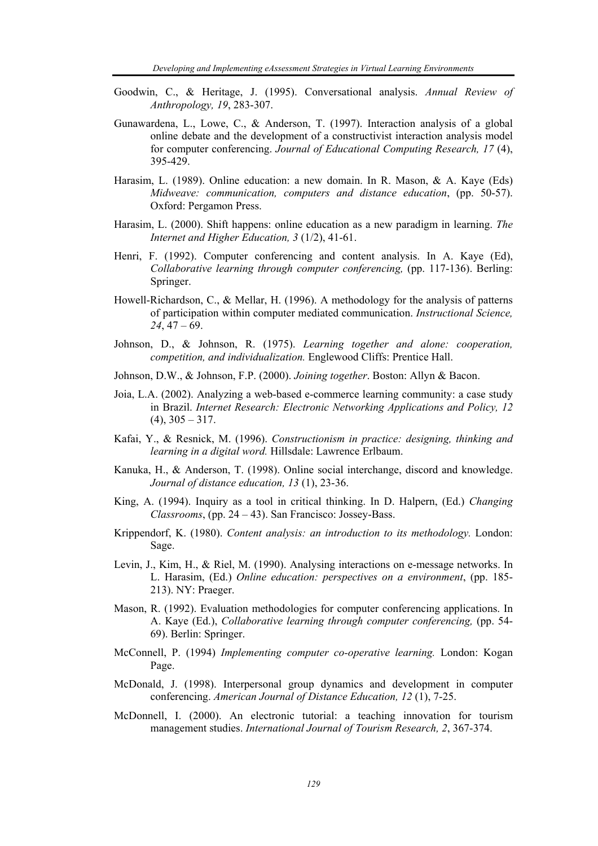- Goodwin, C., & Heritage, J. (1995). Conversational analysis. *Annual Review of Anthropology, 19*, 283-307.
- Gunawardena, L., Lowe, C., & Anderson, T. (1997). Interaction analysis of a global online debate and the development of a constructivist interaction analysis model for computer conferencing. *Journal of Educational Computing Research, 17* (4), 395-429.
- Harasim, L. (1989). Online education: a new domain. In R. Mason, & A. Kaye (Eds) *Midweave: communication, computers and distance education*, (pp. 50-57). Oxford: Pergamon Press.
- Harasim, L. (2000). Shift happens: online education as a new paradigm in learning. *The Internet and Higher Education, 3* (1/2), 41-61.
- Henri, F. (1992). Computer conferencing and content analysis. In A. Kaye (Ed), *Collaborative learning through computer conferencing,* (pp. 117-136). Berling: Springer.
- Howell-Richardson, C., & Mellar, H. (1996). A methodology for the analysis of patterns of participation within computer mediated communication. *Instructional Science, 24*, 47 – 69.
- Johnson, D., & Johnson, R. (1975). *Learning together and alone: cooperation, competition, and individualization.* Englewood Cliffs: Prentice Hall.
- Johnson, D.W., & Johnson, F.P. (2000). *Joining together*. Boston: Allyn & Bacon.
- Joia, L.A. (2002). Analyzing a web-based e-commerce learning community: a case study in Brazil. *Internet Research: Electronic Networking Applications and Policy, 12*   $(4)$ ,  $305 - 317$ .
- Kafai, Y., & Resnick, M. (1996). *Constructionism in practice: designing, thinking and learning in a digital word.* Hillsdale: Lawrence Erlbaum.
- Kanuka, H., & Anderson, T. (1998). Online social interchange, discord and knowledge. *Journal of distance education, 13* (1), 23-36.
- King, A. (1994). Inquiry as a tool in critical thinking. In D. Halpern, (Ed.) *Changing Classrooms*, (pp. 24 – 43). San Francisco: Jossey-Bass.
- Krippendorf, K. (1980). *Content analysis: an introduction to its methodology.* London: Sage.
- Levin, J., Kim, H., & Riel, M. (1990). Analysing interactions on e-message networks. In L. Harasim, (Ed.) *Online education: perspectives on a environment*, (pp. 185- 213). NY: Praeger.
- Mason, R. (1992). Evaluation methodologies for computer conferencing applications. In A. Kaye (Ed.), *Collaborative learning through computer conferencing,* (pp. 54- 69). Berlin: Springer.
- McConnell, P. (1994) *Implementing computer co-operative learning.* London: Kogan Page.
- McDonald, J. (1998). Interpersonal group dynamics and development in computer conferencing. *American Journal of Distance Education, 12* (1), 7-25.
- McDonnell, I. (2000). An electronic tutorial: a teaching innovation for tourism management studies. *International Journal of Tourism Research, 2*, 367-374.